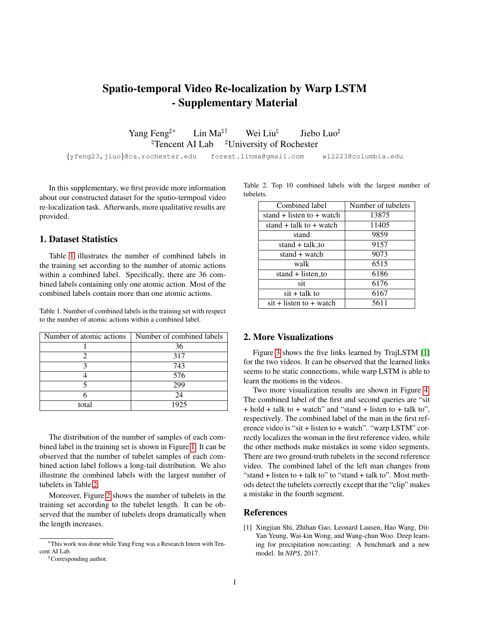## Spatio-temporal Video Re-localization by Warp LSTM - Supplementary Material

Yang Feng<sup> $\sharp$ ∗</sup> Lin Ma<sup> $\sharp \dagger$ </sup> Wei Liu<sup> $\sharp$ </sup> Jiebo Luo $\sharp$  $\text{Tr}$ Tencent AI Lab  $\text{F}$ University of Rochester

{yfeng23,jluo}@cs.rochester.edu forest.linma@gmail.com wl2223@columbia.edu

In this supplementary, we first provide more information about our constructed dataset for the spatio-termpoal video re-localization task. Afterwards, more qualitative results are provided.

## 1. Dataset Statistics

Table [1](#page-0-0) illustrates the number of combined labels in the training set according to the number of atomic actions within a combined label. Specifically, there are 36 combined labels containing only one atomic action. Most of the combined labels contain more than one atomic actions.

<span id="page-0-0"></span>Table 1. Number of combined labels in the training set with respect to the number of atomic actions within a combined label.

| Number of atomic actions | Number of combined labels |
|--------------------------|---------------------------|
|                          | 36                        |
|                          | 317                       |
|                          | 743                       |
|                          | 576                       |
|                          | 299                       |
|                          | 24                        |
| total                    | 1925                      |

The distribution of the number of samples of each combined label in the training set is shown in Figure [1.](#page-1-0) It can be observed that the number of tubelet samples of each combined action label follows a long-tail distribution. We also illustrate the combined labels with the largest number of tubelets in Table [2.](#page-0-1)

Moreover, Figure [2](#page-1-1) shows the number of tubelets in the training set according to the tubelet length. It can be observed that the number of tubelets drops dramatically when the length increases.

Table 2. Top 10 combined labels with the largest number of tubelets.

<span id="page-0-1"></span>

| Combined label                   | Number of tubelets |
|----------------------------------|--------------------|
| stand $+$ listen to $+$ watch    | 13875              |
| stand $+$ talk to $+$ watch      | 11405              |
| stand                            | 9859               |
| stand $+$ talk to                | 9157               |
| stand + watch                    | 9073               |
| walk                             | 6515               |
| stand + listen_to                | 6186               |
| sit                              | 6176               |
| sit + talk to                    | 6167               |
| $\text{sit}$ + listen to + watch | 5611               |

## 2. More Visualizations

Figure [3](#page-1-2) shows the five links learned by TrajLSTM [\[1\]](#page-0-2) for the two videos. It can be observed that the learned links seems to be static connections, while warp LSTM is able to learn the motions in the videos.

Two more visualization results are shown in Figure [4.](#page-2-0) The combined label of the first and second queries are "sit + hold + talk to + watch" and "stand + listen to + talk to", respectively. The combined label of the man in the first reference video is "sit + listen to + watch". "warp LSTM" correctly localizes the woman in the first reference video, while the other methods make mistakes in some video segments. There are two ground-truth tubelets in the second reference video. The combined label of the left man changes from "stand + listen to + talk to" to "stand + talk to". Most methods detect the tubelets correctly except that the "clip" makes a mistake in the fourth segment.

## References

<span id="page-0-2"></span>[1] Xingjian Shi, Zhihan Gao, Leonard Lausen, Hao Wang, Dit-Yan Yeung, Wai-kin Wong, and Wang-chun Woo. Deep learning for precipitation nowcasting: A benchmark and a new model. In *NIPS*, 2017.

<sup>∗</sup>This work was done while Yang Feng was a Research Intern with Tencent AI Lab.

<sup>†</sup>Corresponding author.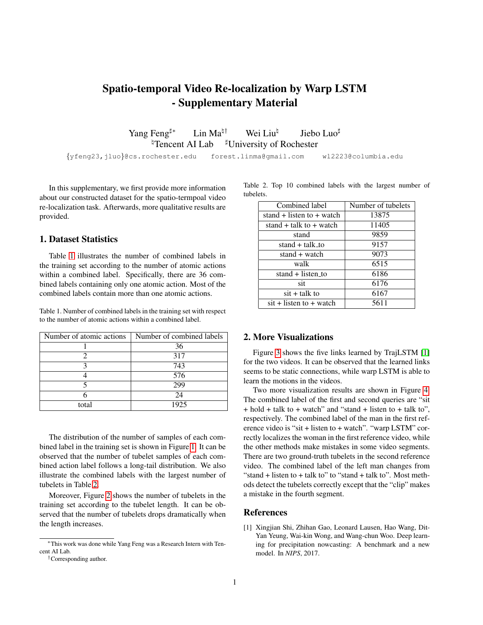

<span id="page-1-0"></span>Figure 1. The distribution of the number of samples for each combined label in the training set.



<span id="page-1-1"></span>Figure 2. The logarithm of the number of tubelets in the training split according to length. Red bars mean that the number of tubelets with the corresponding length is ZERO.

<span id="page-1-2"></span>